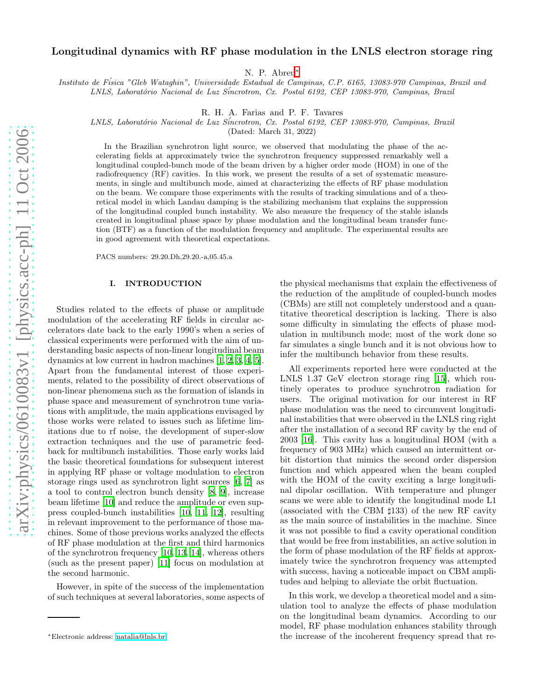# Longitudinal dynamics with RF phase modulation in the LNLS electron storage ring

N. P. Abreu[∗](#page-0-0)

Instituto de F´isica "Gleb Wataghin", Universidade Estadual de Campinas, C.P. 6165, 13083-970 Campinas, Brazil and

LNLS, Laboratório Nacional de Luz Síncrotron, Cx. Postal 6192, CEP 13083-970, Campinas, Brazil

R. H. A. Farias and P. F. Tavares

LNLS, Laboratório Nacional de Luz Síncrotron, Cx. Postal 6192, CEP 13083-970, Campinas, Brazil

(Dated: March 31, 2022)

In the Brazilian synchrotron light source, we observed that modulating the phase of the accelerating fields at approximately twice the synchrotron frequency suppressed remarkably well a longitudinal coupled-bunch mode of the beam driven by a higher order mode (HOM) in one of the radiofrequency (RF) cavities. In this work, we present the results of a set of systematic measurements, in single and multibunch mode, aimed at characterizing the effects of RF phase modulation on the beam. We compare those experiments with the results of tracking simulations and of a theoretical model in which Landau damping is the stabilizing mechanism that explains the suppression of the longitudinal coupled bunch instability. We also measure the frequency of the stable islands created in longitudinal phase space by phase modulation and the longitudinal beam transfer function (BTF) as a function of the modulation frequency and amplitude. The experimental results are in good agreement with theoretical expectations.

PACS numbers: 29.20.Dh,29.20.-a,05.45.a

#### I. INTRODUCTION

Studies related to the effects of phase or amplitude modulation of the accelerating RF fields in circular accelerators date back to the early 1990's when a series of classical experiments were performed with the aim of understanding basic aspects of non-linear longitudinal beam dynamics at low current in hadron machines [\[1](#page-15-0), [2,](#page-15-1) [3,](#page-15-2) [4](#page-15-3), [5\]](#page-15-4). Apart from the fundamental interest of those experiments, related to the possibility of direct observations of non-linear phenomena such as the formation of islands in phase space and measurement of synchrotron tune variations with amplitude, the main applications envisaged by those works were related to issues such as lifetime limitations due to rf noise, the development of super-slow extraction techniques and the use of parametric feedback for multibunch instabilities. Those early works laid the basic theoretical foundations for subsequent interest in applying RF phase or voltage modulation to electron storage rings used as synchrotron light sources [\[6,](#page-15-5) [7\]](#page-15-6) as a tool to control electron bunch density [\[8,](#page-15-7) [9\]](#page-15-8), increase beam lifetime [\[10](#page-15-9)] and reduce the amplitude or even suppress coupled-bunch instabilities [\[10](#page-15-9), [11](#page-15-10), [12\]](#page-15-11), resulting in relevant improvement to the performance of those machines. Some of those previous works analyzed the effects of RF phase modulation at the first and third harmonics of the synchrotron frequency [\[10,](#page-15-9) [13](#page-15-12), [14](#page-15-13)], whereas others (such as the present paper) [\[11\]](#page-15-10) focus on modulation at the second harmonic.

However, in spite of the success of the implementation of such techniques at several laboratories, some aspects of

the physical mechanisms that explain the effectiveness of the reduction of the amplitude of coupled-bunch modes (CBMs) are still not completely understood and a quantitative theoretical description is lacking. There is also some difficulty in simulating the effects of phase modulation in multibunch mode; most of the work done so far simulates a single bunch and it is not obvious how to infer the multibunch behavior from these results.

All experiments reported here were conducted at the LNLS 1.37 GeV electron storage ring [\[15\]](#page-15-14), which routinely operates to produce synchrotron radiation for users. The original motivation for our interest in RF phase modulation was the need to circumvent longitudinal instabilities that were observed in the LNLS ring right after the installation of a second RF cavity by the end of 2003 [\[16\]](#page-15-15). This cavity has a longitudinal HOM (with a frequency of 903 MHz) which caused an intermittent orbit distortion that mimics the second order dispersion function and which appeared when the beam coupled with the HOM of the cavity exciting a large longitudinal dipolar oscillation. With temperature and plunger scans we were able to identify the longitudinal mode L1 (associated with the CBM  $\sharp$ 133) of the new RF cavity as the main source of instabilities in the machine. Since it was not possible to find a cavity operational condition that would be free from instabilities, an active solution in the form of phase modulation of the RF fields at approximately twice the synchrotron frequency was attempted with success, having a noticeable impact on CBM amplitudes and helping to alleviate the orbit fluctuation.

In this work, we develop a theoretical model and a simulation tool to analyze the effects of phase modulation on the longitudinal beam dynamics. According to our model, RF phase modulation enhances stability through the increase of the incoherent frequency spread that re-

<span id="page-0-0"></span><sup>∗</sup>Electronic address: [natalia@lnls.br](mailto:natalia@lnls.br)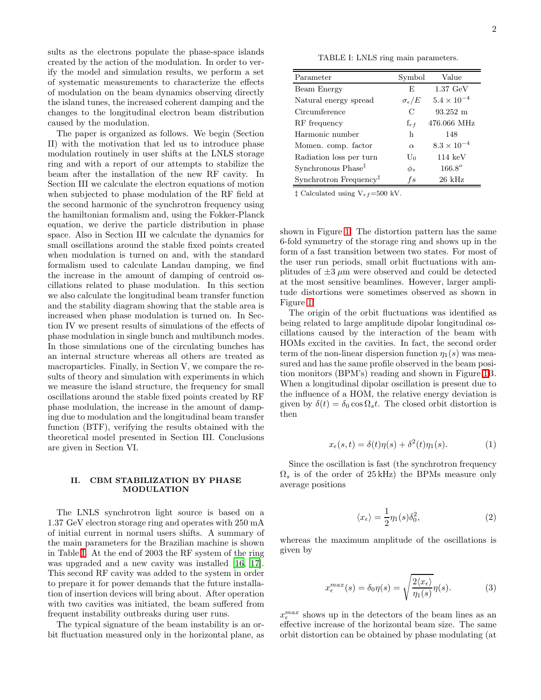sults as the electrons populate the phase-space islands created by the action of the modulation. In order to verify the model and simulation results, we perform a set of systematic measurements to characterize the effects of modulation on the beam dynamics observing directly the island tunes, the increased coherent damping and the changes to the longitudinal electron beam distribution caused by the modulation.

The paper is organized as follows. We begin (Section II) with the motivation that led us to introduce phase modulation routinely in user shifts at the LNLS storage ring and with a report of our attempts to stabilize the beam after the installation of the new RF cavity. In Section III we calculate the electron equations of motion when subjected to phase modulation of the RF field at the second harmonic of the synchrotron frequency using the hamiltonian formalism and, using the Fokker-Planck equation, we derive the particle distribution in phase space. Also in Section III we calculate the dynamics for small oscillations around the stable fixed points created when modulation is turned on and, with the standard formalism used to calculate Landau damping, we find the increase in the amount of damping of centroid oscillations related to phase modulation. In this section we also calculate the longitudinal beam transfer function and the stability diagram showing that the stable area is increased when phase modulation is turned on. In Section IV we present results of simulations of the effects of phase modulation in single bunch and multibunch modes. In those simulations one of the circulating bunches has an internal structure whereas all others are treated as macroparticles. Finally, in Section V, we compare the results of theory and simulation with experiments in which we measure the island structure, the frequency for small oscillations around the stable fixed points created by RF phase modulation, the increase in the amount of damping due to modulation and the longitudinal beam transfer function (BTF), verifying the results obtained with the theoretical model presented in Section III. Conclusions are given in Section VI.

# II. CBM STABILIZATION BY PHASE MODULATION

The LNLS synchrotron light source is based on a 1.37 GeV electron storage ring and operates with 250 mA of initial current in normal users shifts. A summary of the main parameters for the Brazilian machine is shown in Table [I.](#page-1-0) At the end of 2003 the RF system of the ring was upgraded and a new cavity was installed [\[16,](#page-15-15) [17\]](#page-15-16). This second RF cavity was added to the system in order to prepare it for power demands that the future installation of insertion devices will bring about. After operation with two cavities was initiated, the beam suffered from frequent instability outbreaks during user runs.

The typical signature of the beam instability is an orbit fluctuation measured only in the horizontal plane, as

TABLE I: LNLS ring main parameters.

<span id="page-1-0"></span>

| Parameter                          | Symbol                | Value                  |
|------------------------------------|-----------------------|------------------------|
| Beam Energy                        | F,                    | $1.37 \text{ GeV}$     |
| Natural energy spread              | $\sigma_{\epsilon}/E$ | $5.4 \times 10^{-4}$   |
| Circumference                      | C                     | $93.252 \; \mathrm{m}$ |
| RF frequency                       | $f_{rf}$              | 476.066 MHz            |
| Harmonic number                    | h                     | 148                    |
| Momen. comp. factor                | $\alpha$              | $8.3 \times 10^{-4}$   |
| Radiation loss per turn            | U0                    | $114 \text{ keV}$      |
| Synchronous Phase <sup>‡</sup>     | $\phi_s$              | $166.8^{\circ}$        |
| Synchrotron Frequency <sup>‡</sup> | fs                    | $26 \text{ kHz}$       |

 $\ddagger$  Calculated using V<sub>rf</sub>=500 kV.

shown in Figure [1.](#page-2-0) The distortion pattern has the same 6-fold symmetry of the storage ring and shows up in the form of a fast transition between two states. For most of the user run periods, small orbit fluctuations with amplitudes of  $\pm 3 \mu m$  were observed and could be detected at the most sensitive beamlines. However, larger amplitude distortions were sometimes observed as shown in Figure [1.](#page-2-0)

The origin of the orbit fluctuations was identified as being related to large amplitude dipolar longitudinal oscillations caused by the interaction of the beam with HOMs excited in the cavities. In fact, the second order term of the non-linear dispersion function  $\eta_1(s)$  was measured and has the same profile observed in the beam position monitors (BPM's) reading and shown in Figure [1B](#page-2-0). When a longitudinal dipolar oscillation is present due to the influence of a HOM, the relative energy deviation is given by  $\delta(t) = \delta_0 \cos \Omega_s t$ . The closed orbit distortion is then

$$
x_{\epsilon}(s,t) = \delta(t)\eta(s) + \delta^2(t)\eta_1(s). \tag{1}
$$

Since the oscillation is fast (the synchrotron frequency  $\Omega_s$  is of the order of 25 kHz) the BPMs measure only average positions

$$
\langle x_{\epsilon} \rangle = \frac{1}{2} \eta_1(s) \delta_0^2, \tag{2}
$$

whereas the maximum amplitude of the oscillations is given by

$$
x_{\epsilon}^{max}(s) = \delta_0 \eta(s) = \sqrt{\frac{2\langle x_{\epsilon} \rangle}{\eta_1(s)}} \eta(s).
$$
 (3)

 $x_\epsilon^{max}$  shows up in the detectors of the beam lines as an effective increase of the horizontal beam size. The same orbit distortion can be obtained by phase modulating (at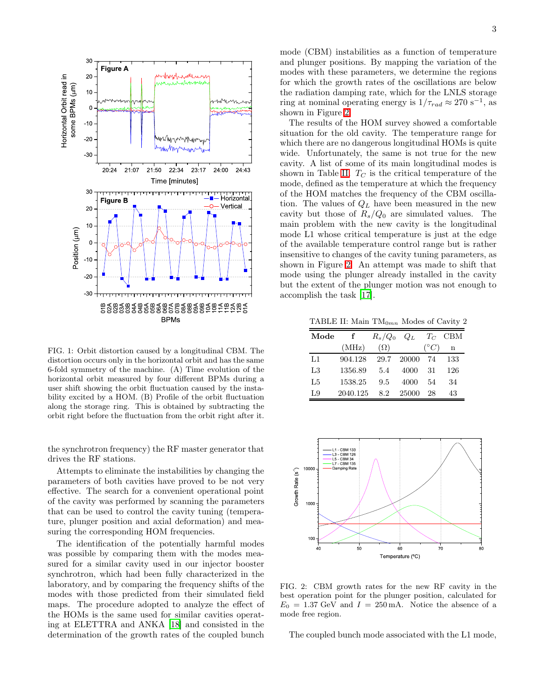

<span id="page-2-0"></span>FIG. 1: Orbit distortion caused by a longitudinal CBM. The distortion occurs only in the horizontal orbit and has the same 6-fold symmetry of the machine. (A) Time evolution of the horizontal orbit measured by four different BPMs during a user shift showing the orbit fluctuation caused by the instability excited by a HOM. (B) Profile of the orbit fluctuation along the storage ring. This is obtained by subtracting the orbit right before the fluctuation from the orbit right after it.

the synchrotron frequency) the RF master generator that drives the RF stations.

Attempts to eliminate the instabilities by changing the parameters of both cavities have proved to be not very effective. The search for a convenient operational point of the cavity was performed by scanning the parameters that can be used to control the cavity tuning (temperature, plunger position and axial deformation) and measuring the corresponding HOM frequencies.

The identification of the potentially harmful modes was possible by comparing them with the modes measured for a similar cavity used in our injector booster synchrotron, which had been fully characterized in the laboratory, and by comparing the frequency shifts of the modes with those predicted from their simulated field maps. The procedure adopted to analyze the effect of the HOMs is the same used for similar cavities operating at ELETTRA and ANKA [\[18](#page-15-17)] and consisted in the determination of the growth rates of the coupled bunch mode (CBM) instabilities as a function of temperature and plunger positions. By mapping the variation of the modes with these parameters, we determine the regions for which the growth rates of the oscillations are below the radiation damping rate, which for the LNLS storage ring at nominal operating energy is  $1/\tau_{rad} \approx 270 \text{ s}^{-1}$ , as shown in Figure [2.](#page-2-1)

The results of the HOM survey showed a comfortable situation for the old cavity. The temperature range for which there are no dangerous longitudinal HOMs is quite wide. Unfortunately, the same is not true for the new cavity. A list of some of its main longitudinal modes is shown in Table [II.](#page-2-2)  $T_C$  is the critical temperature of the mode, defined as the temperature at which the frequency of the HOM matches the frequency of the CBM oscillation. The values of  $Q_L$  have been measured in the new cavity but those of  $R_s/Q_0$  are simulated values. The main problem with the new cavity is the longitudinal mode L1 whose critical temperature is just at the edge of the available temperature control range but is rather insensitive to changes of the cavity tuning parameters, as shown in Figure [2.](#page-2-1) An attempt was made to shift that mode using the plunger already installed in the cavity but the extent of the plunger motion was not enough to accomplish the task [\[17](#page-15-16)].

<span id="page-2-2"></span>TABLE II: Main  $TM_{0mn}$  Modes of Cavity 2

| Mode           |          | $R_s/Q_0$  | $Q_L$ |                 | $T_C$ CBM   |
|----------------|----------|------------|-------|-----------------|-------------|
|                | (MHz)    | $(\Omega)$ |       | $({}^{\circ}C)$ | $\mathbf n$ |
| L1             | 904.128  | 29.7       | 20000 | - 74            | 133         |
| L <sub>3</sub> | 1356.89  | 5.4        | 4000  | 31              | 126         |
| L <sub>5</sub> | 1538.25  | 9.5        | 4000  | 54              | 34          |
| L9             | 2040.125 | 8.2        | 25000 | 28              | 43          |



<span id="page-2-1"></span>FIG. 2: CBM growth rates for the new RF cavity in the best operation point for the plunger position, calculated for  $E_0 = 1.37 \text{ GeV}$  and  $I = 250 \text{ mA}$ . Notice the absence of a mode free region.

The coupled bunch mode associated with the L1 mode,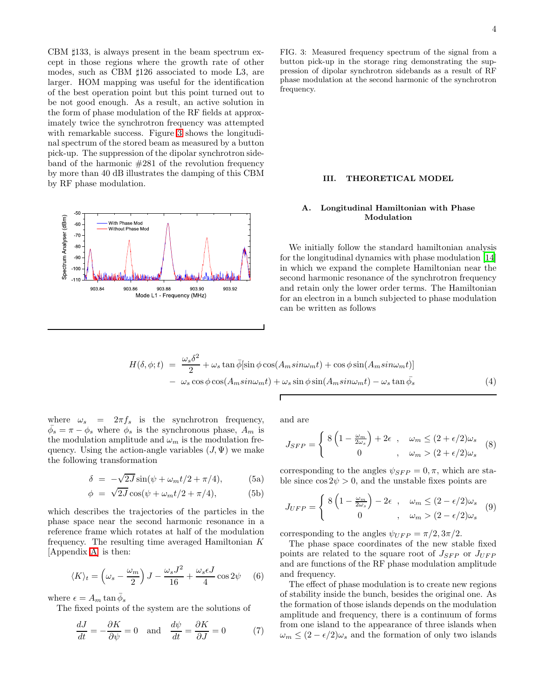CBM ♯133, is always present in the beam spectrum except in those regions where the growth rate of other modes, such as CBM ♯126 associated to mode L3, are larger. HOM mapping was useful for the identification of the best operation point but this point turned out to be not good enough. As a result, an active solution in the form of phase modulation of the RF fields at approximately twice the synchrotron frequency was attempted with remarkable success. Figure [3](#page-3-0) shows the longitudinal spectrum of the stored beam as measured by a button pick-up. The suppression of the dipolar synchrotron sideband of the harmonic #281 of the revolution frequency by more than 40 dB illustrates the damping of this CBM by RF phase modulation.



<span id="page-3-0"></span>FIG. 3: Measured frequency spectrum of the signal from a button pick-up in the storage ring demonstrating the suppression of dipolar synchrotron sidebands as a result of RF phase modulation at the second harmonic of the synchrotron frequency.

### III. THEORETICAL MODEL

# A. Longitudinal Hamiltonian with Phase Modulation

We initially follow the standard hamiltonian analysis for the longitudinal dynamics with phase modulation [\[14](#page-15-13)] in which we expand the complete Hamiltonian near the second harmonic resonance of the synchrotron frequency and retain only the lower order terms. The Hamiltonian for an electron in a bunch subjected to phase modulation can be written as follows

$$
H(\delta, \phi; t) = \frac{\omega_s \delta^2}{2} + \omega_s \tan \bar{\phi} [\sin \phi \cos(A_m \sin \omega_m t) + \cos \phi \sin(A_m \sin \omega_m t)]
$$
  

$$
- \omega_s \cos \phi \cos(A_m \sin \omega_m t) + \omega_s \sin \phi \sin(A_m \sin \omega_m t) - \omega_s \tan \bar{\phi}_s
$$
(4)

<span id="page-3-3"></span>where  $\omega_s = 2\pi f_s$  is the synchrotron frequency,  $\bar{\phi}_s = \pi - \phi_s$  where  $\phi_s$  is the synchronous phase,  $A_m$  is the modulation amplitude and  $\omega_m$  is the modulation frequency. Using the action-angle variables  $(J, \Psi)$  we make the following transformation

$$
\delta = -\sqrt{2J}\sin(\psi + \omega_m t/2 + \pi/4), \tag{5a}
$$

$$
\phi = \sqrt{2J}\cos(\psi + \omega_m t/2 + \pi/4), \tag{5b}
$$

which describes the trajectories of the particles in the phase space near the second harmonic resonance in a reference frame which rotates at half of the modulation frequency. The resulting time averaged Hamiltonian  $K$ [Appendix [A\]](#page-13-0) is then:

<span id="page-3-1"></span>
$$
\langle K \rangle_t = \left(\omega_s - \frac{\omega_m}{2}\right)J - \frac{\omega_s J^2}{16} + \frac{\omega_s \epsilon J}{4}\cos 2\psi \quad (6)
$$

where  $\epsilon = A_m \tan \bar{\phi}_s$ 

The fixed points of the system are the solutions of

$$
\frac{dJ}{dt} = -\frac{\partial K}{\partial \psi} = 0 \quad \text{and} \quad \frac{d\psi}{dt} = \frac{\partial K}{\partial J} = 0 \tag{7}
$$

<span id="page-3-2"></span>and are

$$
J_{SFP} = \begin{cases} 8\left(1 - \frac{\omega_m}{2\omega_s}\right) + 2\epsilon , & \omega_m \le (2 + \epsilon/2)\omega_s \\ 0 , & \omega_m > (2 + \epsilon/2)\omega_s \end{cases} (8)
$$

corresponding to the angles  $\psi_{SFP} = 0, \pi$ , which are stable since  $\cos 2\psi > 0$ , and the unstable fixes points are

$$
J_{UFP} = \begin{cases} 8\left(1 - \frac{\omega_m}{2\omega_s}\right) - 2\epsilon , & \omega_m \le (2 - \epsilon/2)\omega_s \\ 0 , & \omega_m > (2 - \epsilon/2)\omega_s \end{cases} (9)
$$

corresponding to the angles  $\psi_{UFP} = \pi/2, 3\pi/2$ .

The phase space coordinates of the new stable fixed points are related to the square root of  $J_{SFP}$  or  $J_{UFP}$ and are functions of the RF phase modulation amplitude and frequency.

The effect of phase modulation is to create new regions of stability inside the bunch, besides the original one. As the formation of those islands depends on the modulation amplitude and frequency, there is a continuum of forms from one island to the appearance of three islands when  $\omega_m \leq (2 - \epsilon/2)\omega_s$  and the formation of only two islands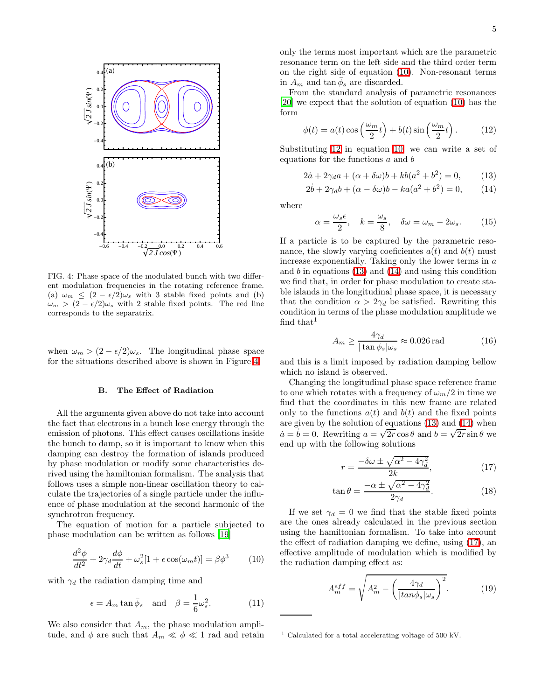

<span id="page-4-0"></span>FIG. 4: Phase space of the modulated bunch with two different modulation frequencies in the rotating reference frame. (a)  $\omega_m \leq (2 - \epsilon/2)\omega_s$  with 3 stable fixed points and (b)  $\omega_m > (2 - \epsilon/2)\omega_s$  with 2 stable fixed points. The red line corresponds to the separatrix.

when  $\omega_m > (2 - \epsilon/2)\omega_s$ . The longitudinal phase space for the situations described above is shown in Figure [4.](#page-4-0)

### B. The Effect of Radiation

All the arguments given above do not take into account the fact that electrons in a bunch lose energy through the emission of photons. This effect causes oscillations inside the bunch to damp, so it is important to know when this damping can destroy the formation of islands produced by phase modulation or modify some characteristics derived using the hamiltonian formalism. The analysis that follows uses a simple non-linear oscillation theory to calculate the trajectories of a single particle under the influence of phase modulation at the second harmonic of the synchrotron frequency.

The equation of motion for a particle subjected to phase modulation can be written as follows [\[19\]](#page-15-18)

$$
\frac{d^2\phi}{dt^2} + 2\gamma_d \frac{d\phi}{dt} + \omega_s^2 [1 + \epsilon \cos(\omega_m t)] = \beta \phi^3 \tag{10}
$$

<span id="page-4-1"></span>with  $\gamma_d$  the radiation damping time and

$$
\epsilon = A_m \tan \bar{\phi}_s \text{ and } \beta = \frac{1}{6} \omega_s^2.
$$
 (11)

We also consider that  $A_m$ , the phase modulation amplitude, and  $\phi$  are such that  $A_m \ll \phi \ll 1$  rad and retain only the terms most important which are the parametric resonance term on the left side and the third order term on the right side of equation [\(10\)](#page-4-1). Non-resonant terms in  $A_m$  and  $\tan \bar{\phi}_s$  are discarded.

<span id="page-4-2"></span>From the standard analysis of parametric resonances [\[20\]](#page-15-19) we expect that the solution of equation [\(10\)](#page-4-1) has the form

$$
\phi(t) = a(t)\cos\left(\frac{\omega_m}{2}t\right) + b(t)\sin\left(\frac{\omega_m}{2}t\right). \tag{12}
$$

<span id="page-4-3"></span>Substituting [12](#page-4-2) in equation [10,](#page-4-1) we can write a set of equations for the functions a and b

$$
2\dot{a} + 2\gamma_d a + (\alpha + \delta\omega)b + kb(a^2 + b^2) = 0,
$$
 (13)

$$
2\dot{b} + 2\gamma_d b + (\alpha - \delta\omega)b - ka(a^2 + b^2) = 0, \qquad (14)
$$

where

 $\epsilon$ 

$$
\alpha = \frac{\omega_s \epsilon}{2}, \quad k = \frac{\omega_s}{8}, \quad \delta \omega = \omega_m - 2\omega_s. \tag{15}
$$

If a particle is to be captured by the parametric resonance, the slowly varying coeficientes  $a(t)$  and  $b(t)$  must increase exponentially. Taking only the lower terms in  $a$ and  $b$  in equations  $(13)$  and  $(14)$  and using this condition we find that, in order for phase modulation to create stable islands in the longitudinal phase space, it is necessary that the condition  $\alpha > 2\gamma_d$  be satisfied. Rewriting this condition in terms of the phase modulation amplitude we find that<sup>1</sup>

$$
A_m \ge \frac{4\gamma_d}{|\tan \phi_s|\omega_s} \approx 0.026 \,\text{rad} \tag{16}
$$

and this is a limit imposed by radiation damping bellow which no island is observed.

Changing the longitudinal phase space reference frame to one which rotates with a frequency of  $\omega_m/2$  in time we find that the coordinates in this new frame are related only to the functions  $a(t)$  and  $b(t)$  and the fixed points are given by the solution of equations [\(13\)](#page-4-3) and [\(14\)](#page-4-3) when  $\dot{a} = \dot{b} = 0$ . Rewriting  $a = \sqrt{2r} \cos \theta$  and  $b = \sqrt{2r} \sin \theta$  we end up with the following solutions

$$
r = \frac{-\delta\omega \pm \sqrt{\alpha^2 - 4\gamma_d^2}}{2k},\tag{17}
$$

$$
\tan \theta = \frac{-\alpha \pm \sqrt{\alpha^2 - 4\gamma_d^2}}{2\gamma_d}.
$$
 (18)

<span id="page-4-4"></span>If we set  $\gamma_d = 0$  we find that the stable fixed points are the ones already calculated in the previous section using the hamiltonian formalism. To take into account the effect of radiation damping we define, using [\(17\)](#page-4-4), an effective amplitude of modulation which is modified by the radiation damping effect as:

$$
A_m^{eff} = \sqrt{A_m^2 - \left(\frac{4\gamma_d}{|tan\phi_s|\omega_s}\right)^2}.
$$
 (19)

<sup>1</sup> Calculated for a total accelerating voltage of 500 kV.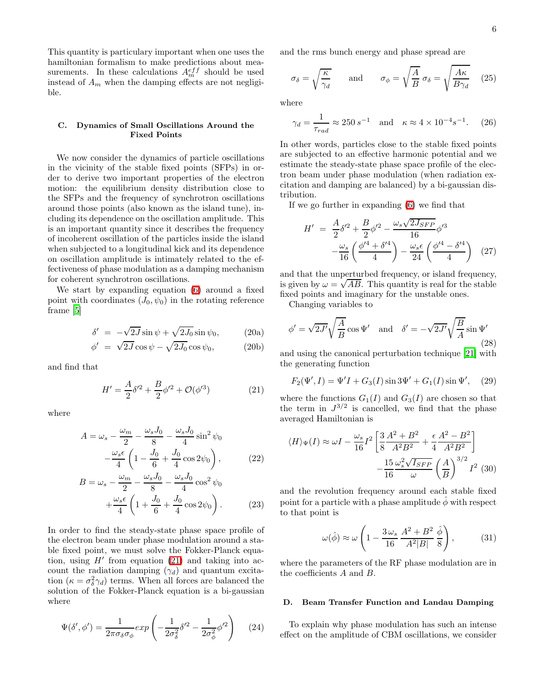This quantity is particulary important when one uses the hamiltonian formalism to make predictions about measurements. In these calculations  $A_m^{eff}$  should be used instead of  $A_m$  when the damping effects are not negligible.

# C. Dynamics of Small Oscillations Around the Fixed Points

We now consider the dynamics of particle oscillations in the vicinity of the stable fixed points (SFPs) in order to derive two important properties of the electron motion: the equilibrium density distribution close to the SFPs and the frequency of synchrotron oscillations around those points (also known as the island tune), including its dependence on the oscillation amplitude. This is an important quantity since it describes the frequency of incoherent oscillation of the particles inside the island when subjected to a longitudinal kick and its dependence on oscillation amplitude is intimately related to the effectiveness of phase modulation as a damping mechanism for coherent synchrotron oscillations.

We start by expanding equation [\(6\)](#page-3-1) around a fixed point with coordinates  $(J_0, \psi_0)$  in the rotating reference frame [\[5\]](#page-15-4)

$$
\delta' = -\sqrt{2J}\sin\psi + \sqrt{2J_0}\sin\psi_0, \qquad (20a)
$$

$$
\phi' = \sqrt{2J}\cos\psi - \sqrt{2J_0}\cos\psi_0, \qquad (20b)
$$

<span id="page-5-0"></span>and find that

$$
H' = \frac{A}{2}\delta'^2 + \frac{B}{2}\phi'^2 + \mathcal{O}(\phi'^3)
$$
 (21)

where

$$
A = \omega_s - \frac{\omega_m}{2} - \frac{\omega_s J_0}{8} - \frac{\omega_s J_0}{4} \sin^2 \psi_0
$$

$$
-\frac{\omega_s \epsilon}{4} \left( 1 - \frac{J_0}{6} + \frac{J_0}{4} \cos 2\psi_0 \right), \tag{22}
$$

$$
B = \omega_s - \frac{\omega_m}{2} - \frac{\omega_s J_0}{8} - \frac{\omega_s J_0}{4} \cos^2 \psi_0
$$

$$
+ \frac{\omega_s \epsilon}{4} \left( 1 + \frac{J_0}{6} + \frac{J_0}{4} \cos 2\psi_0 \right). \tag{23}
$$

In order to find the steady-state phase space profile of the electron beam under phase modulation around a stable fixed point, we must solve the Fokker-Planck equation, using  $H'$  from equation [\(21\)](#page-5-0) and taking into account the radiation damping  $(\gamma_d)$  and quantum excitation  $(\kappa = \sigma_{\delta}^2 \gamma_d)$  terms. When all forces are balanced the solution of the Fokker-Planck equation is a bi-gaussian where

$$
\Psi(\delta', \phi') = \frac{1}{2\pi\sigma_{\delta}\sigma_{\phi}} exp\left(-\frac{1}{2\sigma_{\delta}^2} \delta'^2 - \frac{1}{2\sigma_{\phi}^2} \phi'^2\right) \tag{24}
$$

and the rms bunch energy and phase spread are

$$
\sigma_{\delta} = \sqrt{\frac{\kappa}{\gamma_d}} \quad \text{and} \quad \sigma_{\phi} = \sqrt{\frac{A}{B}} \sigma_{\delta} = \sqrt{\frac{A\kappa}{B\gamma_d}} \quad (25)
$$

where

$$
\gamma_d = \frac{1}{\tau_{rad}} \approx 250 s^{-1}
$$
 and  $\kappa \approx 4 \times 10^{-4} s^{-1}$ . (26)

In other words, particles close to the stable fixed points are subjected to an effective harmonic potential and we estimate the steady-state phase space profile of the electron beam under phase modulation (when radiation excitation and damping are balanced) by a bi-gaussian distribution.

If we go further in expanding [\(6\)](#page-3-1) we find that

$$
H' = \frac{A}{2}\delta'^2 + \frac{B}{2}\phi'^2 - \frac{\omega_s\sqrt{2J_{SFP}}}{16}\phi'^3 -\frac{\omega_s}{16}\left(\frac{\phi'^4 + \delta'^4}{4}\right) - \frac{\omega_s\epsilon}{24}\left(\frac{\phi'^4 - \delta'^4}{4}\right) (27)
$$

and that the unperturbed frequency, or island frequency, is given by  $\omega = \sqrt{AB}$ . This quantity is real for the stable fixed points and imaginary for the unstable ones.

Changing variables to

$$
\phi' = \sqrt{2J'} \sqrt{\frac{A}{B}} \cos \Psi' \quad \text{and} \quad \delta' = -\sqrt{2J'} \sqrt{\frac{B}{A}} \sin \Psi'
$$
\n(28)

and using the canonical perturbation technique [\[21\]](#page-15-20) with the generating function

$$
F_2(\Psi', I) = \Psi' I + G_3(I) \sin 3\Psi' + G_1(I) \sin \Psi', \quad (29)
$$

where the functions  $G_1(I)$  and  $G_3(I)$  are chosen so that the term in  $J^{3/2}$  is cancelled, we find that the phase averaged Hamiltonian is

$$
\langle H \rangle_{\Psi}(I) \approx \omega I - \frac{\omega_s}{16} I^2 \left[ \frac{3}{8} \frac{A^2 + B^2}{A^2 B^2} + \frac{\epsilon}{4} \frac{A^2 - B^2}{A^2 B^2} \right] - \frac{15}{16} \frac{\omega_s^2 \sqrt{I_{SFP}}}{\omega} \left( \frac{A}{B} \right)^{3/2} I^2 \tag{30}
$$

<span id="page-5-1"></span>and the revolution frequency around each stable fixed point for a particle with a phase amplitude  $\phi$  with respect to that point is

$$
\omega(\hat{\phi}) \approx \omega \left( 1 - \frac{3\,\omega_s}{16} \frac{A^2 + B^2}{A^2|B|} \frac{\hat{\phi}}{8} \right),\tag{31}
$$

where the parameters of the RF phase modulation are in the coefficients A and B.

## D. Beam Transfer Function and Landau Damping

To explain why phase modulation has such an intense effect on the amplitude of CBM oscillations, we consider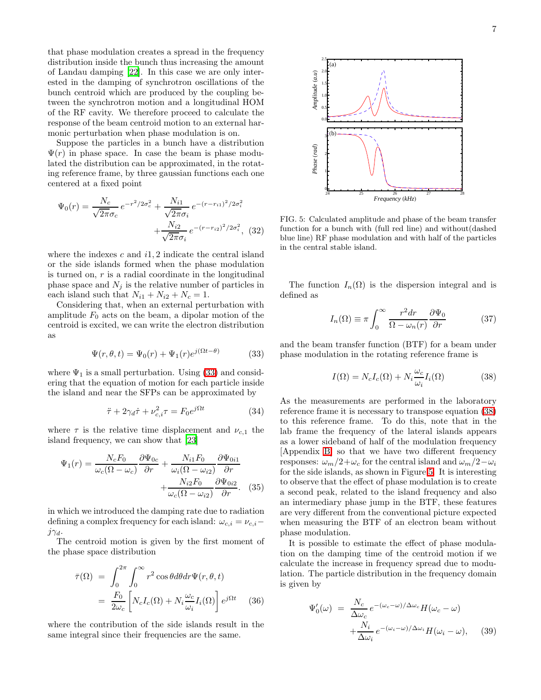that phase modulation creates a spread in the frequency distribution inside the bunch thus increasing the amount of Landau damping [\[22](#page-15-21)]. In this case we are only interested in the damping of synchrotron oscillations of the bunch centroid which are produced by the coupling between the synchrotron motion and a longitudinal HOM of the RF cavity. We therefore proceed to calculate the response of the beam centroid motion to an external harmonic perturbation when phase modulation is on.

Suppose the particles in a bunch have a distribution  $\Psi(r)$  in phase space. In case the beam is phase modulated the distribution can be approximated, in the rotating reference frame, by three gaussian functions each one centered at a fixed point

$$
\Psi_0(r) = \frac{N_c}{\sqrt{2\pi}\sigma_c} e^{-r^2/2\sigma_c^2} + \frac{N_{i1}}{\sqrt{2\pi}\sigma_i} e^{-(r-r_{i1})^2/2\sigma_i^2} + \frac{N_{i2}}{\sqrt{2\pi}\sigma_i} e^{-(r-r_{i2})^2/2\sigma_i^2},
$$
(32)

where the indexes  $c$  and  $i1, 2$  indicate the central island or the side islands formed when the phase modulation is turned on,  $r$  is a radial coordinate in the longitudinal phase space and  $N_j$  is the relative number of particles in each island such that  $N_{i1} + N_{i2} + N_c = 1$ .

<span id="page-6-0"></span>Considering that, when an external perturbation with amplitude  $F_0$  acts on the beam, a dipolar motion of the centroid is excited, we can write the electron distribution as

$$
\Psi(r,\theta,t) = \Psi_0(r) + \Psi_1(r)e^{j(\Omega t - \theta)} \tag{33}
$$

where  $\Psi_1$  is a small perturbation. Using [\(33\)](#page-6-0) and considering that the equation of motion for each particle inside the island and near the SFPs can be approximated by

$$
\ddot{\tau} + 2\gamma_d \dot{\tau} + \nu_{c,i}^2 \tau = F_0 e^{j\Omega t} \tag{34}
$$

where  $\tau$  is the relative time displacement and  $\nu_{c,1}$  the island frequency, we can show that [\[23\]](#page-15-22)

$$
\Psi_1(r) = \frac{N_c F_0}{\omega_c(\Omega - \omega_c)} \frac{\partial \Psi_{0c}}{\partial r} + \frac{N_{i1} F_0}{\omega_i(\Omega - \omega_{i2})} \frac{\partial \Psi_{0i1}}{\partial r} + \frac{N_{i2} F_0}{\omega_c(\Omega - \omega_{i2})} \frac{\partial \Psi_{0i2}}{\partial r}.
$$
 (35)

in which we introduced the damping rate due to radiation defining a complex frequency for each island:  $\omega_{c,i} = \nu_{c,i}$  $j\gamma_d$ .

<span id="page-6-3"></span>The centroid motion is given by the first moment of the phase space distribution

$$
\bar{\tau}(\Omega) = \int_0^{2\pi} \int_0^{\infty} r^2 \cos \theta d\theta dr \Psi(r, \theta, t)
$$

$$
= \frac{F_0}{2\omega_c} \left[ N_c I_c(\Omega) + N_i \frac{\omega_c}{\omega_i} I_i(\Omega) \right] e^{j\Omega t} \quad (36)
$$

where the contribution of the side islands result in the same integral since their frequencies are the same.



<span id="page-6-2"></span>FIG. 5: Calculated amplitude and phase of the beam transfer function for a bunch with (full red line) and without(dashed blue line) RF phase modulation and with half of the particles in the central stable island.

<span id="page-6-4"></span>The function  $I_n(\Omega)$  is the dispersion integral and is defined as

$$
I_n(\Omega) \equiv \pi \int_0^\infty \frac{r^2 dr}{\Omega - \omega_n(r)} \frac{\partial \Psi_0}{\partial r}
$$
(37)

and the beam transfer function (BTF) for a beam under phase modulation in the rotating reference frame is

<span id="page-6-1"></span>
$$
I(\Omega) = N_c I_c(\Omega) + N_i \frac{\omega_c}{\omega_i} I_i(\Omega)
$$
 (38)

As the measurements are performed in the laboratory reference frame it is necessary to transpose equation [\(38\)](#page-6-1) to this reference frame. To do this, note that in the lab frame the frequency of the lateral islands appears as a lower sideband of half of the modulation frequency [Appendix [B\]](#page-14-0) so that we have two different frequency responses:  $\omega_m/2+\omega_c$  for the central island and  $\omega_m/2-\omega_i$ for the side islands, as shown in Figure [5.](#page-6-2) It is interesting to observe that the effect of phase modulation is to create a second peak, related to the island frequency and also an intermediary phase jump in the BTF, these features are very different from the conventional picture expected when measuring the BTF of an electron beam without phase modulation.

It is possible to estimate the effect of phase modulation on the damping time of the centroid motion if we calculate the increase in frequency spread due to modulation. The particle distribution in the frequency domain is given by

$$
\Psi'_{0}(\omega) = \frac{N_c}{\Delta \omega_c} e^{-(\omega_c - \omega)/\Delta \omega_c} H(\omega_c - \omega)
$$

$$
+ \frac{N_i}{\Delta \omega_i} e^{-(\omega_i - \omega)/\Delta \omega_i} H(\omega_i - \omega), \quad (39)
$$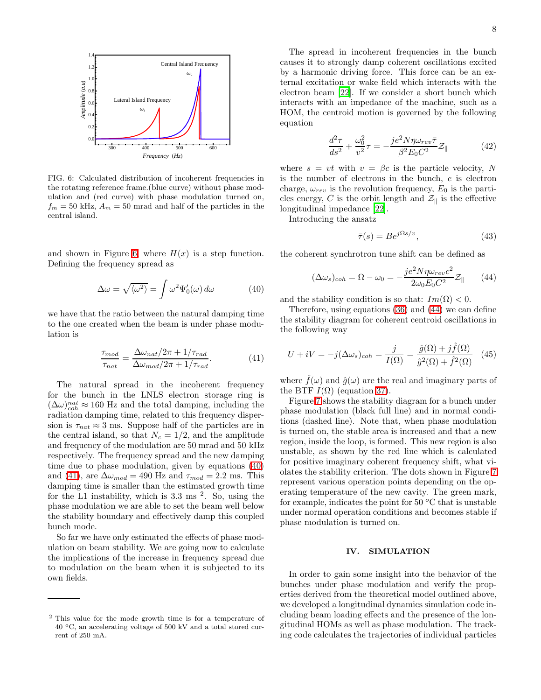

<span id="page-7-0"></span>FIG. 6: Calculated distribution of incoherent frequencies in the rotating reference frame.(blue curve) without phase modulation and (red curve) with phase modulation turned on,  $f_m = 50$  kHz,  $A_m = 50$  mrad and half of the particles in the central island.

and shown in Figure [6,](#page-7-0) where  $H(x)$  is a step function. Defining the frequency spread as

<span id="page-7-1"></span>
$$
\Delta \omega = \sqrt{\langle \omega^2 \rangle} = \int \omega^2 \Psi_0'(\omega) \, d\omega \tag{40}
$$

<span id="page-7-2"></span>we have that the ratio between the natural damping time to the one created when the beam is under phase modulation is

$$
\frac{\tau_{mod}}{\tau_{nat}} = \frac{\Delta \omega_{nat}/2\pi + 1/\tau_{rad}}{\Delta \omega_{mod}/2\pi + 1/\tau_{rad}}.
$$
\n(41)

The natural spread in the incoherent frequency for the bunch in the LNLS electron storage ring is  $(\Delta \omega)_{coh}^{nat} \approx 160$  Hz and the total damping, including the radiation damping time, related to this frequency dispersion is  $\tau_{nat} \approx 3$  ms. Suppose half of the particles are in the central island, so that  $N_c = 1/2$ , and the amplitude and frequency of the modulation are 50 mrad and 50 kHz respectively. The frequency spread and the new damping time due to phase modulation, given by equations [\(40\)](#page-7-1) and [\(41\)](#page-7-2), are  $\Delta \omega_{mod} = 490$  Hz and  $\tau_{mod} = 2.2$  ms. This damping time is smaller than the estimated growth time for the L1 instability, which is  $3.3 \text{ ms}^2$ . So, using the phase modulation we are able to set the beam well below the stability boundary and effectively damp this coupled bunch mode.

So far we have only estimated the effects of phase modulation on beam stability. We are going now to calculate the implications of the increase in frequency spread due to modulation on the beam when it is subjected to its own fields.

The spread in incoherent frequencies in the bunch causes it to strongly damp coherent oscillations excited by a harmonic driving force. This force can be an external excitation or wake field which interacts with the electron beam [\[22](#page-15-21)]. If we consider a short bunch which interacts with an impedance of the machine, such as a HOM, the centroid motion is governed by the following equation

$$
\frac{d^2\tau}{ds^2} + \frac{\omega_0^2}{v^2}\tau = -\frac{je^2N\eta\omega_{rev}\bar{\tau}}{\beta^2E_0C^2}\mathcal{Z}_{\parallel}
$$
 (42)

where  $s = vt$  with  $v = \beta c$  is the particle velocity, N is the number of electrons in the bunch, e is electron charge,  $\omega_{rev}$  is the revolution frequency,  $E_0$  is the particles energy, C is the orbit length and  $\mathcal{Z}_{\parallel}$  is the effective longitudinal impedance [\[22\]](#page-15-21).

Introducing the ansatz

<span id="page-7-3"></span>
$$
\bar{\tau}(s) = Be^{j\Omega s/v},\tag{43}
$$

the coherent synchrotron tune shift can be defined as

$$
(\Delta \omega_s)_{coh} = \Omega - \omega_0 = -\frac{je^2 N \eta \omega_{rev} c^2}{2 \omega_0 E_0 C^2} \mathcal{Z}_{\parallel}
$$
 (44)

and the stability condition is so that:  $Im(\Omega) < 0$ .

Therefore, using equations [\(36\)](#page-6-3) and [\(44\)](#page-7-3) we can define the stability diagram for coherent centroid oscillations in the following way

$$
U + iV = -j(\Delta\omega_s)_{coh} = \frac{j}{I(\Omega)} = \frac{\hat{g}(\Omega) + j\hat{f}(\Omega)}{\hat{g}^2(\Omega) + \hat{f}^2(\Omega)} \quad (45)
$$

where  $\hat{f}(\omega)$  and  $\hat{g}(\omega)$  are the real and imaginary parts of the BTF  $I(\Omega)$  (equation [37\)](#page-6-4).

Figure [7](#page-8-0) shows the stability diagram for a bunch under phase modulation (black full line) and in normal conditions (dashed line). Note that, when phase modulation is turned on, the stable area is increased and that a new region, inside the loop, is formed. This new region is also unstable, as shown by the red line which is calculated for positive imaginary coherent frequency shift, what violates the stability criterion. The dots shown in Figure [7](#page-8-0) represent various operation points depending on the operating temperature of the new cavity. The green mark, for example, indicates the point for 50  $\mathrm{^{\circ}C}$  that is unstable under normal operation conditions and becomes stable if phase modulation is turned on.

# IV. SIMULATION

In order to gain some insight into the behavior of the bunches under phase modulation and verify the properties derived from the theoretical model outlined above, we developed a longitudinal dynamics simulation code including beam loading effects and the presence of the longitudinal HOMs as well as phase modulation. The tracking code calculates the trajectories of individual particles

<sup>2</sup> This value for the mode growth time is for a temperature of  $40\text{ °C}$ , an accelerating voltage of  $500\text{ kV}$  and a total stored current of 250 mA.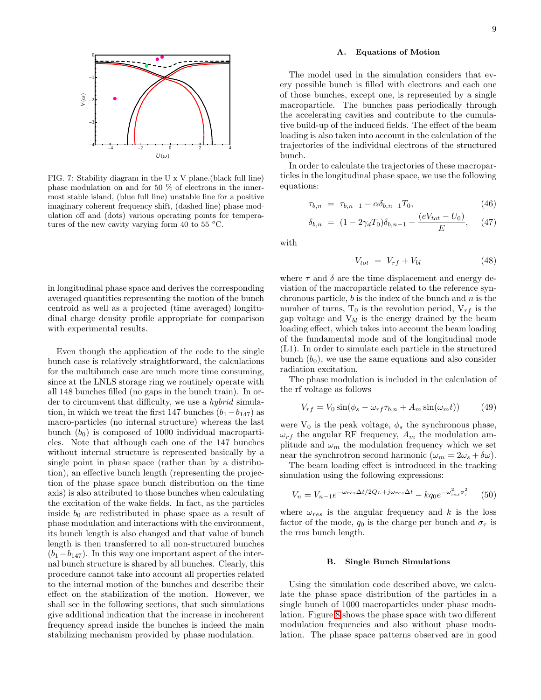

<span id="page-8-0"></span>FIG. 7: Stability diagram in the U x V plane.(black full line) phase modulation on and for 50 % of electrons in the innermost stable island, (blue full line) unstable line for a positive imaginary coherent frequency shift, (dashed line) phase modulation off and (dots) various operating points for temperatures of the new cavity varying form 40 to 55  $\,^{\circ}\text{C}$ .

in longitudinal phase space and derives the corresponding averaged quantities representing the motion of the bunch centroid as well as a projected (time averaged) longitudinal charge density profile appropriate for comparison with experimental results.

Even though the application of the code to the single bunch case is relatively straightforward, the calculations for the multibunch case are much more time consuming, since at the LNLS storage ring we routinely operate with all 148 bunches filled (no gaps in the bunch train). In order to circumvent that difficulty, we use a *hybrid* simulation, in which we treat the first 147 bunches  $(b_1 - b_{147})$  as macro-particles (no internal structure) whereas the last bunch  $(b_0)$  is composed of 1000 individual macroparticles. Note that although each one of the 147 bunches without internal structure is represented basically by a single point in phase space (rather than by a distribution), an effective bunch length (representing the projection of the phase space bunch distribution on the time axis) is also attributed to those bunches when calculating the excitation of the wake fields. In fact, as the particles inside  $b_0$  are redistributed in phase space as a result of phase modulation and interactions with the environment, its bunch length is also changed and that value of bunch length is then transferred to all non-structured bunches  $(b_1-b_{147})$ . In this way one important aspect of the internal bunch structure is shared by all bunches. Clearly, this procedure cannot take into account all properties related to the internal motion of the bunches and describe their effect on the stabilization of the motion. However, we shall see in the following sections, that such simulations give additional indication that the increase in incoherent frequency spread inside the bunches is indeed the main stabilizing mechanism provided by phase modulation.

## A. Equations of Motion

The model used in the simulation considers that every possible bunch is filled with electrons and each one of those bunches, except one, is represented by a single macroparticle. The bunches pass periodically through the accelerating cavities and contribute to the cumulative build-up of the induced fields. The effect of the beam loading is also taken into account in the calculation of the trajectories of the individual electrons of the structured bunch.

In order to calculate the trajectories of these macroparticles in the longitudinal phase space, we use the following equations:

$$
\tau_{b,n} = \tau_{b,n-1} - \alpha \delta_{b,n-1} T_0, \tag{46}
$$

$$
\delta_{b,n} = (1 - 2\gamma_d T_0) \delta_{b,n-1} + \frac{(eV_{tot} - U_0)}{E}, \quad (47)
$$

with

$$
V_{tot} = V_{rf} + V_{bl} \tag{48}
$$

where  $\tau$  and  $\delta$  are the time displacement and energy deviation of the macroparticle related to the reference synchronous particle,  $b$  is the index of the bunch and  $n$  is the number of turns,  $T_0$  is the revolution period,  $V_{rf}$  is the gap voltage and  $V_{bl}$  is the energy drained by the beam loading effect, which takes into account the beam loading of the fundamental mode and of the longitudinal mode (L1). In order to simulate each particle in the structured bunch  $(b_0)$ , we use the same equations and also consider radiation excitation.

The phase modulation is included in the calculation of the rf voltage as follows

$$
V_{rf} = V_0 \sin(\phi_s - \omega_{rf} \tau_{b,n} + A_m \sin(\omega_m t)) \tag{49}
$$

were  $\mathbf{V}_0$  is the peak voltage,  $\phi_s$  the synchronous phase,  $\omega_{rf}$  the angular RF frequency,  $A_m$  the modulation amplitude and  $\omega_m$  the modulation frequency which we set near the synchrotron second harmonic  $(\omega_m = 2\omega_s + \delta\omega)$ .

The beam loading effect is introduced in the tracking simulation using the following expressions:

$$
V_n = V_{n-1}e^{-\omega_{res}\Delta t/2Q_L + j\omega_{res}\Delta t} - kq_0e^{-\omega_{res}^2\sigma_{\tau}^2}
$$
 (50)

where  $\omega_{res}$  is the angular frequency and k is the loss factor of the mode,  $q_0$  is the charge per bunch and  $\sigma_{\tau}$  is the rms bunch length.

#### B. Single Bunch Simulations

Using the simulation code described above, we calculate the phase space distribution of the particles in a single bunch of 1000 macroparticles under phase modulation. Figure [8](#page-9-0) shows the phase space with two different modulation frequencies and also without phase modulation. The phase space patterns observed are in good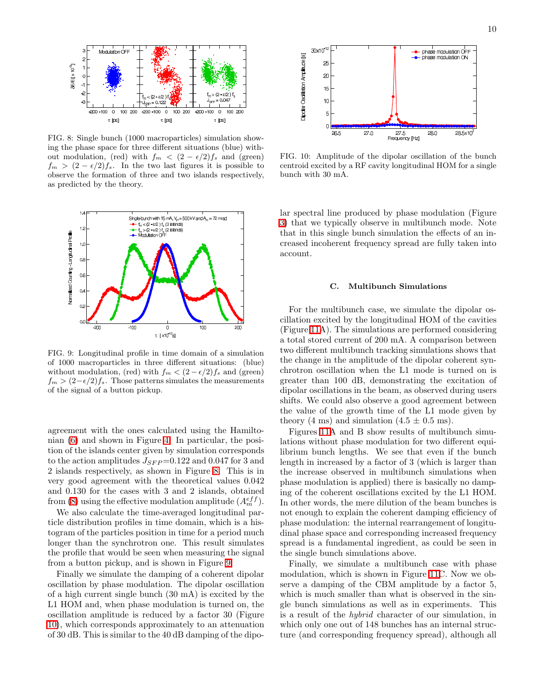

<span id="page-9-0"></span>FIG. 8: Single bunch (1000 macroparticles) simulation showing the phase space for three different situations (blue) without modulation, (red) with  $f_m < (2 - \epsilon/2)f_s$  and (green)  $f_m > (2 - \epsilon/2)f_s$ . In the two last figures it is possible to observe the formation of three and two islands respectively, as predicted by the theory.



<span id="page-9-1"></span>FIG. 9: Longitudinal profile in time domain of a simulation of 1000 macroparticles in three different situations: (blue) without modulation, (red) with  $f_m < (2 - \epsilon/2)f_s$  and (green)  $f_m > (2-\epsilon/2)f_s$ . Those patterns simulates the measurements of the signal of a button pickup.

agreement with the ones calculated using the Hamiltonian [\(6\)](#page-3-1) and shown in Figure [4.](#page-4-0) In particular, the position of the islands center given by simulation corresponds to the action amplitudes  $J_{SFP}=0.122$  and 0.047 for 3 and 2 islands respectively, as shown in Figure [8.](#page-9-0) This is in very good agreement with the theoretical values 0.042 and 0.130 for the cases with 3 and 2 islands, obtained from [\(8\)](#page-3-2) using the effective modulation amplitude  $(A_m^{eff})$ .

We also calculate the time-averaged longitudinal particle distribution profiles in time domain, which is a histogram of the particles position in time for a period much longer than the synchrotron one. This result simulates the profile that would be seen when measuring the signal from a button pickup, and is shown in Figure [9.](#page-9-1)

Finally we simulate the damping of a coherent dipolar oscillation by phase modulation. The dipolar oscillation of a high current single bunch (30 mA) is excited by the L1 HOM and, when phase modulation is turned on, the oscillation amplitude is reduced by a factor 30 (Figure [10\)](#page-9-2), which corresponds approximately to an attenuation of 30 dB. This is similar to the 40 dB damping of the dipo-



<span id="page-9-2"></span>FIG. 10: Amplitude of the dipolar oscillation of the bunch centroid excited by a RF cavity longitudinal HOM for a single bunch with 30 mA.

lar spectral line produced by phase modulation (Figure [3\)](#page-3-0) that we typically observe in multibunch mode. Note that in this single bunch simulation the effects of an increased incoherent frequency spread are fully taken into account.

#### C. Multibunch Simulations

For the multibunch case, we simulate the dipolar oscillation excited by the longitudinal HOM of the cavities (Figure [11A](#page-10-0)). The simulations are performed considering a total stored current of 200 mA. A comparison between two different multibunch tracking simulations shows that the change in the amplitude of the dipolar coherent synchrotron oscillation when the L1 mode is turned on is greater than 100 dB, demonstrating the excitation of dipolar oscillations in the beam, as observed during users shifts. We could also observe a good agreement between the value of the growth time of the L1 mode given by theory (4 ms) and simulation (4.5  $\pm$  0.5 ms).

Figures [11A](#page-10-0) and B show results of multibunch simulations without phase modulation for two different equilibrium bunch lengths. We see that even if the bunch length in increased by a factor of 3 (which is larger than the increase observed in multibunch simulations when phase modulation is applied) there is basically no damping of the coherent oscillations excited by the L1 HOM. In other words, the mere dilution of the beam bunches is not enough to explain the coherent damping efficiency of phase modulation: the internal rearrangement of longitudinal phase space and corresponding increased frequency spread is a fundamental ingredient, as could be seen in the single bunch simulations above.

Finally, we simulate a multibunch case with phase modulation, which is shown in Figure [11C](#page-10-0). Now we observe a damping of the CBM amplitude by a factor 5, which is much smaller than what is observed in the single bunch simulations as well as in experiments. This is a result of the hybrid character of our simulation, in which only one out of 148 bunches has an internal structure (and corresponding frequency spread), although all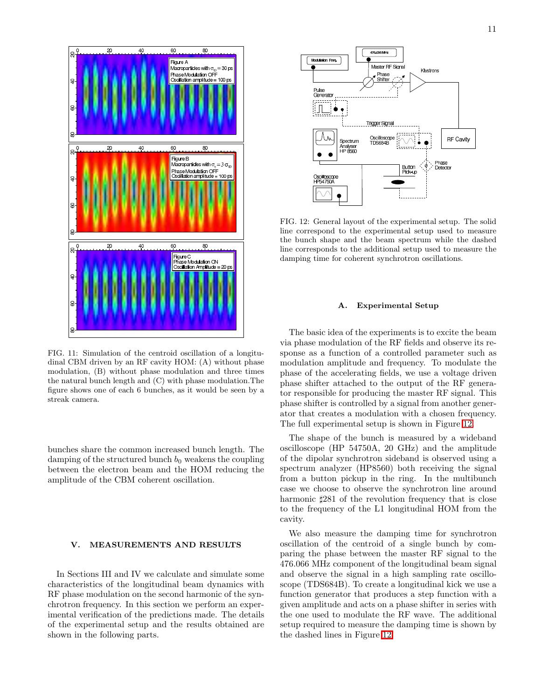

<span id="page-10-0"></span>FIG. 11: Simulation of the centroid oscillation of a longitudinal CBM driven by an RF cavity HOM: (A) without phase modulation, (B) without phase modulation and three times the natural bunch length and (C) with phase modulation.The figure shows one of each 6 bunches, as it would be seen by a streak camera.

bunches share the common increased bunch length. The damping of the structured bunch  $b_0$  weakens the coupling between the electron beam and the HOM reducing the amplitude of the CBM coherent oscillation.

# V. MEASUREMENTS AND RESULTS

In Sections III and IV we calculate and simulate some characteristics of the longitudinal beam dynamics with RF phase modulation on the second harmonic of the synchrotron frequency. In this section we perform an experimental verification of the predictions made. The details of the experimental setup and the results obtained are shown in the following parts.



<span id="page-10-1"></span>FIG. 12: General layout of the experimental setup. The solid line correspond to the experimental setup used to measure the bunch shape and the beam spectrum while the dashed line corresponds to the additional setup used to measure the damping time for coherent synchrotron oscillations.

# A. Experimental Setup

The basic idea of the experiments is to excite the beam via phase modulation of the RF fields and observe its response as a function of a controlled parameter such as modulation amplitude and frequency. To modulate the phase of the accelerating fields, we use a voltage driven phase shifter attached to the output of the RF generator responsible for producing the master RF signal. This phase shifter is controlled by a signal from another generator that creates a modulation with a chosen frequency. The full experimental setup is shown in Figure [12.](#page-10-1)

The shape of the bunch is measured by a wideband oscilloscope (HP 54750A, 20 GHz) and the amplitude of the dipolar synchrotron sideband is observed using a spectrum analyzer (HP8560) both receiving the signal from a button pickup in the ring. In the multibunch case we choose to observe the synchrotron line around harmonic  $\text{\#}281$  of the revolution frequency that is close to the frequency of the L1 longitudinal HOM from the cavity.

We also measure the damping time for synchrotron oscillation of the centroid of a single bunch by comparing the phase between the master RF signal to the 476.066 MHz component of the longitudinal beam signal and observe the signal in a high sampling rate oscilloscope (TDS684B). To create a longitudinal kick we use a function generator that produces a step function with a given amplitude and acts on a phase shifter in series with the one used to modulate the RF wave. The additional setup required to measure the damping time is shown by the dashed lines in Figure [12.](#page-10-1)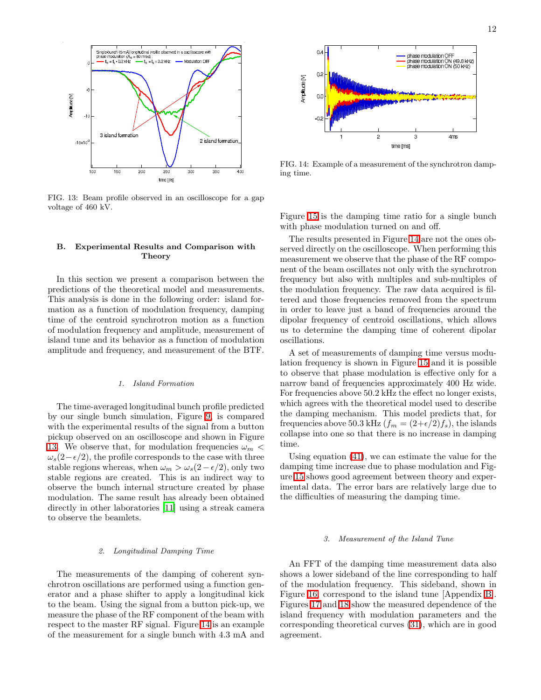

<span id="page-11-0"></span>FIG. 13: Beam profile observed in an oscilloscope for a gap voltage of 460 kV.

## B. Experimental Results and Comparison with **Theory**

In this section we present a comparison between the predictions of the theoretical model and measurements. This analysis is done in the following order: island formation as a function of modulation frequency, damping time of the centroid synchrotron motion as a function of modulation frequency and amplitude, measurement of island tune and its behavior as a function of modulation amplitude and frequency, and measurement of the BTF.

# 1. Island Formation

The time-averaged longitudinal bunch profile predicted by our single bunch simulation, Figure [9,](#page-9-1) is compared with the experimental results of the signal from a button pickup observed on an oscilloscope and shown in Figure [13.](#page-11-0) We observe that, for modulation frequencies  $\omega_m$  <  $\omega_s(2-\epsilon/2)$ , the profile corresponds to the case with three stable regions whereas, when  $\omega_m > \omega_s(2-\epsilon/2)$ , only two stable regions are created. This is an indirect way to observe the bunch internal structure created by phase modulation. The same result has already been obtained directly in other laboratories [\[11\]](#page-15-10) using a streak camera to observe the beamlets.

#### 2. Longitudinal Damping Time

The measurements of the damping of coherent synchrotron oscillations are performed using a function generator and a phase shifter to apply a longitudinal kick to the beam. Using the signal from a button pick-up, we measure the phase of the RF component of the beam with respect to the master RF signal. Figure [14](#page-11-1) is an example of the measurement for a single bunch with 4.3 mA and



<span id="page-11-1"></span>FIG. 14: Example of a measurement of the synchrotron damping time.

Figure [15](#page-12-0) is the damping time ratio for a single bunch with phase modulation turned on and off.

The results presented in Figure [14](#page-11-1) are not the ones observed directly on the oscilloscope. When performing this measurement we observe that the phase of the RF component of the beam oscillates not only with the synchrotron frequency but also with multiples and sub-multiples of the modulation frequency. The raw data acquired is filtered and those frequencies removed from the spectrum in order to leave just a band of frequencies around the dipolar frequency of centroid oscillations, which allows us to determine the damping time of coherent dipolar oscillations.

A set of measurements of damping time versus modulation frequency is shown in Figure [15](#page-12-0) and it is possible to observe that phase modulation is effective only for a narrow band of frequencies approximately 400 Hz wide. For frequencies above 50.2 kHz the effect no longer exists, which agrees with the theoretical model used to describe the damping mechanism. This model predicts that, for frequencies above 50.3 kHz  $(f_m = (2+\epsilon/2)f_s)$ , the islands collapse into one so that there is no increase in damping time.

Using equation [\(41\)](#page-7-2), we can estimate the value for the damping time increase due to phase modulation and Figure [15](#page-12-0) shows good agreement between theory and experimental data. The error bars are relatively large due to the difficulties of measuring the damping time.

#### 3. Measurement of the Island Tune

An FFT of the damping time measurement data also shows a lower sideband of the line corresponding to half of the modulation frequency. This sideband, shown in Figure [16,](#page-12-1) correspond to the island tune [Appendix [B\]](#page-14-0). Figures [17](#page-12-2) and [18](#page-12-3) show the measured dependence of the island frequency with modulation parameters and the corresponding theoretical curves [\(31\)](#page-5-1), which are in good agreement.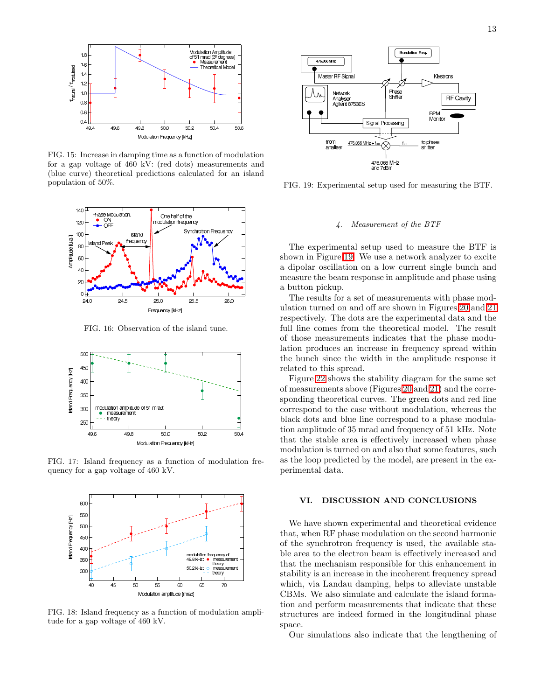

<span id="page-12-0"></span>FIG. 15: Increase in damping time as a function of modulation for a gap voltage of 460 kV: (red dots) measurements and (blue curve) theoretical predictions calculated for an island population of 50%.



FIG. 16: Observation of the island tune.

<span id="page-12-1"></span>

<span id="page-12-2"></span>FIG. 17: Island frequency as a function of modulation frequency for a gap voltage of 460 kV.



<span id="page-12-3"></span>FIG. 18: Island frequency as a function of modulation amplitude for a gap voltage of 460 kV.



<span id="page-12-4"></span>FIG. 19: Experimental setup used for measuring the BTF.

# 4. Measurement of the BTF

The experimental setup used to measure the BTF is shown in Figure [19.](#page-12-4) We use a network analyzer to excite a dipolar oscillation on a low current single bunch and measure the beam response in amplitude and phase using a button pickup.

The results for a set of measurements with phase modulation turned on and off are shown in Figures [20](#page-13-1) and [21](#page-13-2) respectively. The dots are the experimental data and the full line comes from the theoretical model. The result of those measurements indicates that the phase modulation produces an increase in frequency spread within the bunch since the width in the amplitude response it related to this spread.

Figure [22](#page-13-3) shows the stability diagram for the same set of measurements above (Figures [20](#page-13-1) and [21\)](#page-13-2) and the corresponding theoretical curves. The green dots and red line correspond to the case without modulation, whereas the black dots and blue line correspond to a phase modulation amplitude of 35 mrad and frequency of 51 kHz. Note that the stable area is effectively increased when phase modulation is turned on and also that some features, such as the loop predicted by the model, are present in the experimental data.

# VI. DISCUSSION AND CONCLUSIONS

We have shown experimental and theoretical evidence that, when RF phase modulation on the second harmonic of the synchrotron frequency is used, the available stable area to the electron beam is effectively increased and that the mechanism responsible for this enhancement in stability is an increase in the incoherent frequency spread which, via Landau damping, helps to alleviate unstable CBMs. We also simulate and calculate the island formation and perform measurements that indicate that these structures are indeed formed in the longitudinal phase space.

Our simulations also indicate that the lengthening of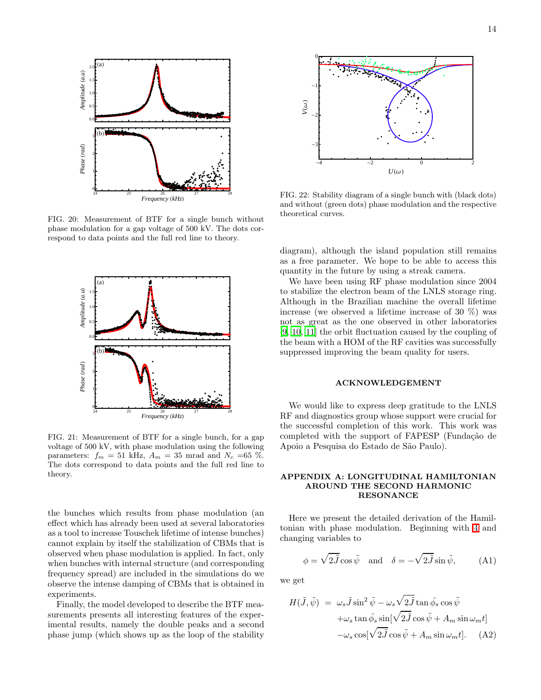

<span id="page-13-1"></span>FIG. 20: Measurement of BTF for a single bunch without phase modulation for a gap voltage of 500 kV. The dots correspond to data points and the full red line to theory.



<span id="page-13-2"></span>FIG. 21: Measurement of BTF for a single bunch, for a gap voltage of 500 kV, with phase modulation using the following parameters:  $f_m = 51$  kHz,  $A_m = 35$  mrad and  $N_c = 65$  %. The dots correspond to data points and the full red line to theory.

the bunches which results from phase modulation (an effect which has already been used at several laboratories as a tool to increase Touschek lifetime of intense bunches) cannot explain by itself the stabilization of CBMs that is observed when phase modulation is applied. In fact, only when bunches with internal structure (and corresponding frequency spread) are included in the simulations do we observe the intense damping of CBMs that is obtained in experiments.

Finally, the model developed to describe the BTF measurements presents all interesting features of the experimental results, namely the double peaks and a second phase jump (which shows up as the loop of the stability



<span id="page-13-3"></span>FIG. 22: Stability diagram of a single bunch with (black dots) and without (green dots) phase modulation and the respective theoretical curves.

diagram), although the island population still remains as a free parameter. We hope to be able to access this quantity in the future by using a streak camera.

We have been using RF phase modulation since 2004 to stabilize the electron beam of the LNLS storage ring. Although in the Brazilian machine the overall lifetime increase (we observed a lifetime increase of 30 %) was not as great as the one observed in other laboratories [\[9,](#page-15-8) [10,](#page-15-9) [11](#page-15-10)] the orbit fluctuation caused by the coupling of the beam with a HOM of the RF cavities was successfully suppressed improving the beam quality for users.

#### ACKNOWLEDGEMENT

We would like to express deep gratitude to the LNLS RF and diagnostics group whose support were crucial for the successful completion of this work. This work was completed with the support of FAPESP (Fundação de Apoio a Pesquisa do Estado de São Paulo).

## <span id="page-13-0"></span>APPENDIX A: LONGITUDINAL HAMILTONIAN AROUND THE SECOND HARMONIC RESONANCE

Here we present the detailed derivation of the Hamiltonian with phase modulation. Beginning with [4](#page-3-3) and changing variables to

$$
\phi = \sqrt{2\tilde{J}} \cos \tilde{\psi} \quad \text{and} \quad \delta = -\sqrt{2\tilde{J}} \sin \tilde{\psi}, \quad (A1)
$$

we get

$$
H(\tilde{J}, \tilde{\psi}) = \omega_s \tilde{J} \sin^2 \tilde{\psi} - \omega_s \sqrt{2\tilde{J}} \tan \bar{\phi_s} \cos \tilde{\psi}
$$

$$
+ \omega_s \tan \bar{\phi_s} \sin[\sqrt{2\tilde{J}} \cos \tilde{\psi} + A_m \sin \omega_m t]
$$

$$
- \omega_s \cos[\sqrt{2\tilde{J}} \cos \tilde{\psi} + A_m \sin \omega_m t]. \quad (A2)
$$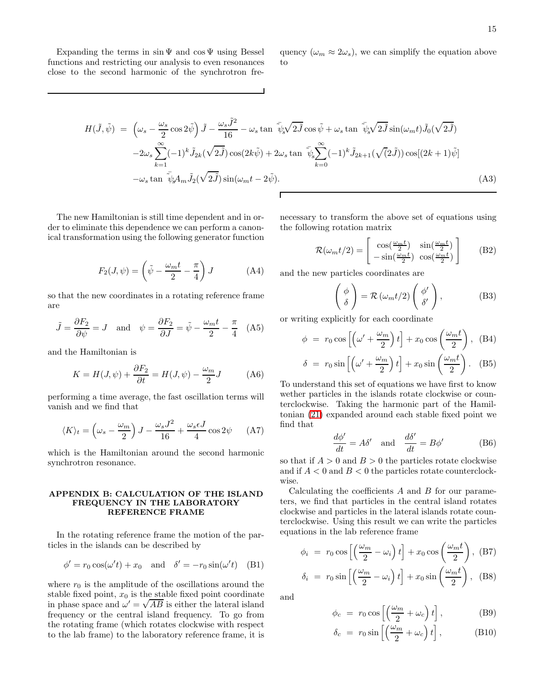Expanding the terms in  $\sin \Psi$  and  $\cos \Psi$  using Bessel functions and restricting our analysis to even resonances close to the second harmonic of the synchrotron frequency  $(\omega_m \approx 2\omega_s)$ , we can simplify the equation above to

$$
H(\tilde{J},\tilde{\psi}) = \left(\omega_s - \frac{\omega_s}{2}\cos 2\tilde{\psi}\right)\tilde{J} - \frac{\omega_s \tilde{J}^2}{16} - \omega_s \tan \tilde{\psi}_s \sqrt{2\tilde{J}} \cos \tilde{\psi} + \omega_s \tan \tilde{\psi}_s \sqrt{2\tilde{J}} \sin(\omega_m t)\tilde{J}_0(\sqrt{2\tilde{J}})
$$
  

$$
-2\omega_s \sum_{k=1}^{\infty} (-1)^k \tilde{J}_{2k}(\sqrt{2\tilde{J}})\cos(2k\tilde{\psi}) + 2\omega_s \tan \tilde{\psi}_s \sum_{k=0}^{\infty} (-1)^k \tilde{J}_{2k+1}(\sqrt{2\tilde{J}})\cos[(2k+1)\tilde{\psi}]
$$
  

$$
-\omega_s \tan \tilde{\psi}_s A_m \tilde{J}_2(\sqrt{2\tilde{J}})\sin(\omega_m t - 2\tilde{\psi}).
$$
 (A3)

The new Hamiltonian is still time dependent and in order to eliminate this dependence we can perform a canonical transformation using the following generator function

> $F_2(J,\psi)=\biggl(\tilde\psi-\frac{\omega_m t}{2}$  $\frac{1}{2}$ π 4  $\setminus$  $(A4)$

so that the new coordinates in a rotating reference frame are

$$
\tilde{J} = \frac{\partial F_2}{\partial \psi} = J \quad \text{and} \quad \psi = \frac{\partial F_2}{\partial J} = \tilde{\psi} - \frac{\omega_m t}{2} - \frac{\pi}{4} \quad (A5)
$$

and the Hamiltonian is

$$
K = H(J, \psi) + \frac{\partial F_2}{\partial t} = H(J, \psi) - \frac{\omega_m}{2}J
$$
 (A6)

performing a time average, the fast oscillation terms will vanish and we find that

$$
\langle K \rangle_t = \left(\omega_s - \frac{\omega_m}{2}\right)J - \frac{\omega_s J^2}{16} + \frac{\omega_s \epsilon J}{4}\cos 2\psi \qquad (A7)
$$

which is the Hamiltonian around the second harmonic synchrotron resonance.

## <span id="page-14-0"></span>APPENDIX B: CALCULATION OF THE ISLAND FREQUENCY IN THE LABORATORY REFERENCE FRAME

In the rotating reference frame the motion of the particles in the islands can be described by

$$
\phi' = r_0 \cos(\omega' t) + x_0 \quad \text{and} \quad \delta' = -r_0 \sin(\omega' t) \quad \text{(B1)}
$$

where  $r_0$  is the amplitude of the oscillations around the stable fixed point,  $x_0$  is the stable fixed point coordinate in phase space and  $\omega' = \sqrt{AB}$  is either the lateral island frequency or the central island frequency. To go from the rotating frame (which rotates clockwise with respect to the lab frame) to the laboratory reference frame, it is

necessary to transform the above set of equations using the following rotation matrix

$$
\mathcal{R}(\omega_m t/2) = \begin{bmatrix} \cos(\frac{\omega_m t}{2}) & \sin(\frac{\omega_m t}{2})\\ -\sin(\frac{\omega_m t}{2}) & \cos(\frac{\omega_m t}{2}) \end{bmatrix}
$$
 (B2)

and the new particles coordinates are

$$
\begin{pmatrix} \phi \\ \delta \end{pmatrix} = \mathcal{R} \left( \omega_m t/2 \right) \begin{pmatrix} \phi' \\ \delta' \end{pmatrix}, \tag{B3}
$$

or writing explicitly for each coordinate

$$
\phi = r_0 \cos \left[ \left( \omega' + \frac{\omega_m}{2} \right) t \right] + x_0 \cos \left( \frac{\omega_m t}{2} \right), \quad (B4)
$$

$$
\delta = r_0 \sin \left[ \left( \omega' + \frac{\omega_m}{2} \right) t \right] + x_0 \sin \left( \frac{\omega_m t}{2} \right). \quad (B5)
$$

To understand this set of equations we have first to know wether particles in the islands rotate clockwise or counterclockwise. Taking the harmonic part of the Hamiltonian [\(21\)](#page-5-0) expanded around each stable fixed point we find that

$$
\frac{d\phi'}{dt} = A\delta' \quad \text{and} \quad \frac{d\delta'}{dt} = B\phi' \tag{B6}
$$

so that if  $A > 0$  and  $B > 0$  the particles rotate clockwise and if  $A < 0$  and  $B < 0$  the particles rotate counterclockwise.

Calculating the coefficients  $A$  and  $B$  for our parameters, we find that particles in the central island rotates clockwise and particles in the lateral islands rotate counterclockwise. Using this result we can write the particles equations in the lab reference frame

$$
\phi_i = r_0 \cos \left[ \left( \frac{\omega_m}{2} - \omega_i \right) t \right] + x_0 \cos \left( \frac{\omega_m t}{2} \right), \text{ (B7)}
$$

$$
\delta_i = r_0 \sin\left[\left(\frac{\omega_m}{2} - \omega_i\right)t\right] + x_0 \sin\left(\frac{\omega_m t}{2}\right), \quad (B8)
$$

and

$$
\phi_c = r_0 \cos \left[ \left( \frac{\omega_m}{2} + \omega_c \right) t \right], \tag{B9}
$$

$$
\delta_c = r_0 \sin\left[\left(\frac{\omega_m}{2} + \omega_c\right)t\right],\tag{B10}
$$